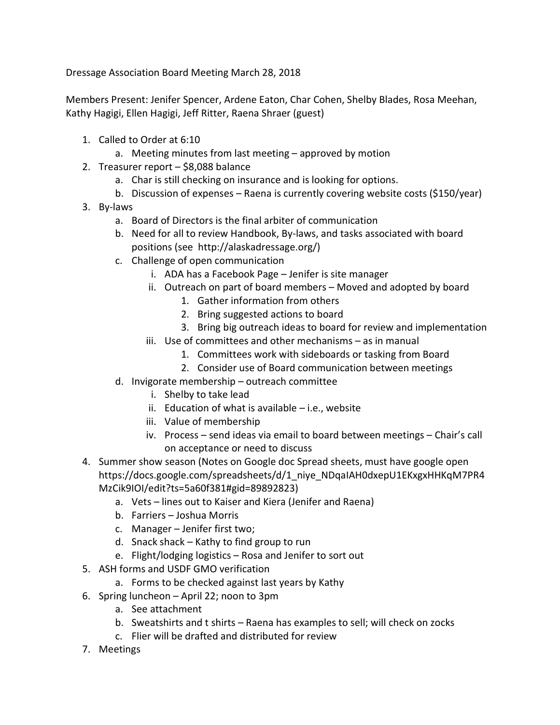Dressage Association Board Meeting March 28, 2018

Members Present: Jenifer Spencer, Ardene Eaton, Char Cohen, Shelby Blades, Rosa Meehan, Kathy Hagigi, Ellen Hagigi, Jeff Ritter, Raena Shraer (guest)

- 1. Called to Order at 6:10
	- a. Meeting minutes from last meeting approved by motion
- 2. Treasurer report \$8,088 balance
	- a. Char is still checking on insurance and is looking for options.
	- b. Discussion of expenses Raena is currently covering website costs (\$150/year)
- 3. By-laws
	- a. Board of Directors is the final arbiter of communication
	- b. Need for all to review Handbook, By-laws, and tasks associated with board positions (see http://alaskadressage.org/)
	- c. Challenge of open communication
		- i. ADA has a Facebook Page Jenifer is site manager
		- ii. Outreach on part of board members Moved and adopted by board
			- 1. Gather information from others
			- 2. Bring suggested actions to board
			- 3. Bring big outreach ideas to board for review and implementation
		- iii. Use of committees and other mechanisms as in manual
			- 1. Committees work with sideboards or tasking from Board
			- 2. Consider use of Board communication between meetings
	- d. Invigorate membership outreach committee
		- i. Shelby to take lead
		- ii. Education of what is available  $-$  i.e., website
		- iii. Value of membership
		- iv. Process send ideas via email to board between meetings Chair's call on acceptance or need to discuss
- 4. Summer show season (Notes on Google doc Spread sheets, must have google open https://docs.google.com/spreadsheets/d/1\_niye\_NDqaIAH0dxepU1EKxgxHHKqM7PR4 MzCik9IOI/edit?ts=5a60f381#gid=89892823)
	- a. Vets lines out to Kaiser and Kiera (Jenifer and Raena)
	- b. Farriers Joshua Morris
	- c. Manager Jenifer first two;
	- d. Snack shack Kathy to find group to run
	- e. Flight/lodging logistics Rosa and Jenifer to sort out
- 5. ASH forms and USDF GMO verification
	- a. Forms to be checked against last years by Kathy
- 6. Spring luncheon April 22; noon to 3pm
	- a. See attachment
	- b. Sweatshirts and t shirts Raena has examples to sell; will check on zocks
	- c. Flier will be drafted and distributed for review
- 7. Meetings